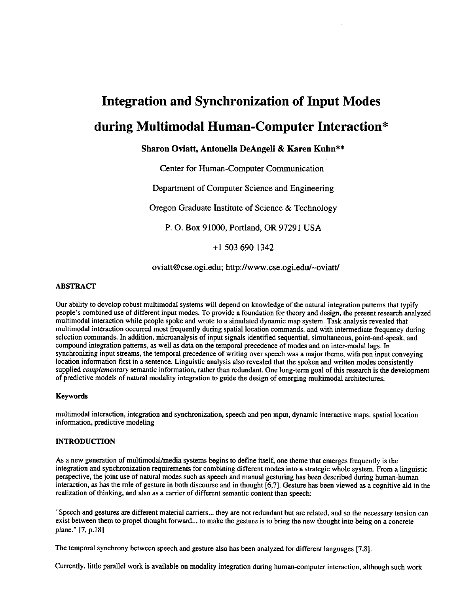# **Integration and Synchronization of Input Modes during Multimodal Human-Computer Interaction\***

# **Sharon Oviatt, Antonella DeAngeli & Karen Kuhn\*\***

Center for Human-Computer Communication

Department of Computer Science and Engineering

Oregon Graduate Institute of Science & Technology

P. O. Box 91000, Portland, OR 97291 USA

+1 503 690 1342

oviatt@cse.ogi.edu; http://www.cse.ogi.edu/~oviatt/

# ABSTRACT

Our ability to develop robust multimodal systems will depend on knowledge of the natural integration patterns that typify people's combined use of different input modes. To provide a foundation for theory and design, the present research analyzed multimodal interaction while people spoke and wrote to a simulated dynamic map system. Task analysis revealed that multimodal interaction occurred most frequently during spatial location commands, and with intermediate frequency during selection commands. In addition, microanalysis of input signals identified sequential, simultaneous, point-and-speak, and compound integration patterns, as well as data on the temporal precedence of modes and on inter-modal lags. In synchronizing input streams, the temporal precedence of writing over speech was a major theme, with pen input conveying location information first in a sentence. Linguistic analysis also revealed that the spoken and written modes consistently supplied *complementary* semantic information, rather than redundant. One long-term goal of this research is the development of predictive models of natural modality integration to guide the design of emerging multimodal architectures.

# **Keywords**

multimodal interaction, integration and synchronization, speech and pen input, dynamic interactive maps, spatial location information, predictive modeling

# **INTRODUCTION**

As a new generation of multimodal/media systems begins to define itself, one theme that emerges frequently is the integration and synchronization requirements for combining different modes into a strategic whole system. From a linguistic perspective, the joint use of natural modes such as speech and manual gesturing has been described during human-human interaction, as has the role of gesture in beth discourse and in thought [6,7]. Gesture has been viewed as a cognitive aid in the realization of thinking, and also as a carrier of different semantic content than speech:

"Speech and gestures are different material carriers.., they are not redundant but are related, and so the necessary tension can exist between them to propel thought forward.., to make the gesture is to bring the new thought into being on a concrete plane." [7, p.18]

The temporal synchrony between speech and gesture also has been analyzed for different languages [7,8].

Currently, little parallel work is available on modality integration during human-computer interaction, although such work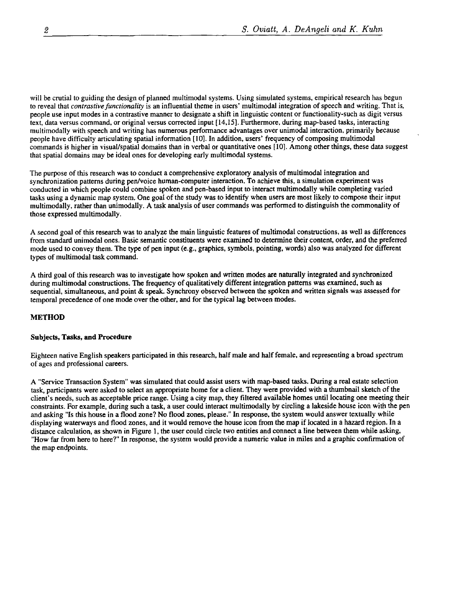will be crutial to guiding the design of planned multimodal systems. Using simulated systems, empirical research has begun to reveal that *contrastive functionality* is an influential theme in users' multimodal integration of speech and writing. That is, people use input modes in a contrastive manner to designate a shift in linguistic content or functionality-such as digit versus text, data versus command, or original versus corrected input [14,15]. Furthermore, during map-based tasks, interacting multimodally with speech and writing has numerous performance advantages over unimodal interaction, primarily because people have difficulty articulating spatial information [ 10]. In addition, users' frequency of composing multimodal commands is higher in visual/spatial domains than in verbal or quantitative ones [10]. Among other things, these data suggest that spatial domains may be ideal ones for developing early multimodal systems.

The purpose of this research was to conduct a comprehensive exploratory analysis of multimodal integration and synchronization patterns during pen/voice human-computer interaction. To achieve this, a simulation experiment was conducted in which people could combine spoken and pen-based input to interact multimodally while completing varied tasks using a dynamic map system. One goal of the study was to identify when users are most likely to compose their input multimodally, rather than unimodally. A task analysis of user commands was performed to distinguish the commonality of those expressed multimodally.

A second goal of this research was to analyze the main linguistic features of multimodal constructions, as well as differences from standard unimodal ones. Basic semantic constituents were examined to determine their content, order, and the preferred mode used to convey them. The type of pen input (e.g., graphics, symbols, pointing, words) also was analyzed for different types of multimodal task command.

A third goal of this research was to investigate how spoken and written modes are naturally integrated and synchronized during multimodal constructions. The frequency of qualitatively different integration patterns was examined, such as sequential, simultaneous, and point & speak. Synchrony observed between the spoken and written signals was assessed for temporal precedence of one mode over the other, and for the typical lag between modes.

# **METHOD**

# **Subjects, Tasks, and Procedure**

Eighteen native English speakers participated in this research, half male and half female, and representing a broad spectrum of ages and professional careers.

A "Service Transaction System" was simulated that could assist users with map-based tasks. During a real estate selection task, participants were asked to select an appropriate home for a client. They were provided with a thumbnail sketch of the client's needs, such as acceptable price range. Using a city map, they filtered available homes until locating one meeting their constraints. For example, during such a task, a user could interact multimodally by circling a lakeside house icon with the pen and asking "Is this house in a flood zone? No flood zones, please." In response, the system would answer textually while displaying waterways and flood zones, and it would remove the house icon from the map if located in a hazard region. In a distance calculation, as shown in Figure 1, the user could circle two entities and connect a line between them while asking, "How far from here to here?" In response, the system would provide a numeric value in miles and a graphic confirmation of the map endpoints.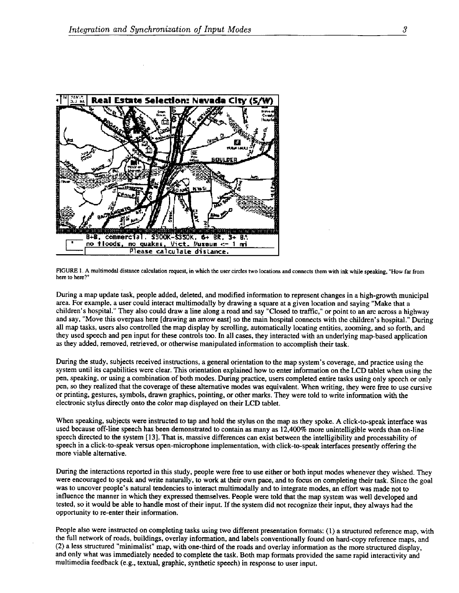

FIGURE 1. A multimodal distance calculation request, in which the user circles two locations and connects them with ink while speaking, "How far from here to here?"

During a map update task, people added, deleted, and modified information to represent changes in a high-growth municipal area. For example, a user could interact multimodally by drawing a square at a given location and saying "Make that a children's hospital." They also could draw a line along a road and say "Closed to traffic," or point to an arc across a highway and say, "Move this overpass here [drawing an arrow east] so the main hospital connects with the children's hospital." During all map tasks, users also controlled the map display by scrolling, automatically locating entities, zooming, and so forth, and they used speech and pen input for these controls too. In all cases, they interacted with an underlying map-based application as they added, removed, retrieved, or otherwise manipulated information to accomplish their task.

During the study, subjects received instructions, a general orientation to the map system's coverage, and practice using the system until its capabilities were clear. This orientation explained how to enter information on the LCD tablet when using the pen, speaking, or using a combination of both modes. During practice, users completed entire tasks using only speech or only pen, so they realized that the coverage of these alternative modes was equivalent. When writing, they were free to use cursive or printing, gestures, symbols, drawn graphics, pointing, or other marks. They were told to write information with the electronic stylus directly onto the color map displayed on their LCD tablet.

When speaking, subjects were instructed to tap and hold the stylus on the map as they spoke. A click-to-speak interface was used because off-line speech has been demonstrated to contain as many as 12,400% more unintelligible words than on-line speech directed to the system [13]. That is, massive differences can exist between the intelligibility and processability of speech in a click-to-speak versus open-microphone implementation, with click-to-speak interfaces presently offering the more viable alternative.

During the interactions reported in this study, people were free to use either or both input modes whenever they wished. They were encouraged to speak and write naturally, to work at their own pace, and to focus on completing their task. Since the goal was to uncover people's natural tendencies to interact multimodally and to integrate modes, an effort was made not to influence the manner in which they expressed themselves. People were told that the map system was well developed and tested, so it would be able to handle most of their input. If the system did not recognize their input, they always had the opportunity to re-enter their information.

People also were instructed on completing tasks using two different presentation formats: (1) a structured reference map, with the full network of roads, buildings, overlay information, and labels conventionally found on hard-copy reference maps, and (2) a less structured "minimalist" map, with one-third of the roads and overlay information as the more structured display, and only what was immediately needed to complete the task. Both map formats provided the same rapid interactivity and multimedia feedback (e.g., textual, graphic, synthetic speech) in response to user input.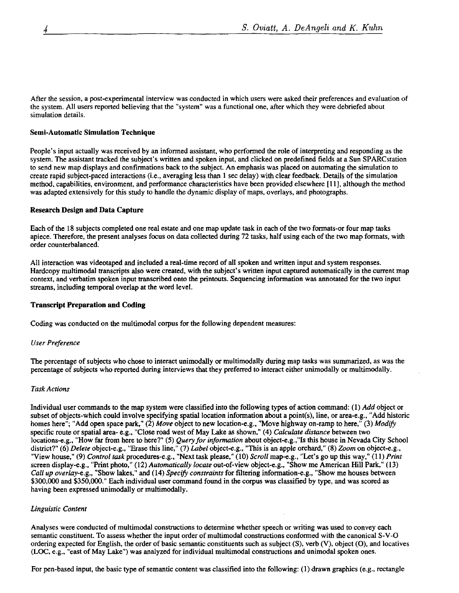After the session, a post-experimental interview was conducted in which users were asked their preferences and evaluation of the system. All users reported believing that the "system" was a functional one, after which they were debriefed about simulation details.

# **Semi-Automatic Simulation Technique**

People's input actually was received by an informed assistant, who performed the role of interpreting and responding as the system. The assistant tracked the subject's written and spoken input, and clicked on predefined fields at a Sun SPARCstation to send new map displays and confirmations back to the subject. An emphasis was placed on automating the simulation to create rapid subject-paced interactions (i.e., averaging less than 1 sec delay) with clear feedback. Details of the simulation method, capabilities, environment, and performance characteristics have been provided elsewhere [11], although the method was adapted extensively for this study to handle the dynamic display of maps, overlays, and photographs.

# **Research Design and Data Capture**

Each of the 18 subjects completed one real estate and one map update task in each of the two formats-or four map tasks apiece. Therefore, the present analyses focus on data collected during 72 tasks, half using each of the two map formats, with order counterbalanced.

All interaction was videotaped and included a real-time record of all spoken and written input and system responses. Hardcopy multimodal transcripts also were created, with the subject's written input captured automatically in the current map context, and verbatim spoken input transcribed onto the printouts. Sequencing information was annotated for the two input streams, including temporal overlap at the word level.

# **Transcript Preparation and Coding**

Coding was conducted on the multimodal corpus for the following dependent measures:

# *User Preference*

The percentage of subjects who chose to interact unimodally or mulfimodally during map tasks was summarized, as was the percentage of subjects who reported during interviews that they preferred to interact either unimodally or multimodally.

#### **Task Actions**

Individual user commands to the map system were classified into the following types of action command: (1) *Add* object or subset of objects-which could involve specifying spatial location information about a point(s), line, or area-e.g., "Add historic homes here"; "Add open space park," (2) *Move* object to new location-e.g., "Move highway on-ramp to here," (3) *Modify*  specific route or spatial area- e.g., "Close road west of May Lake as shown," (4) *Calculate distance* between two locations-e.g., "How far from here to here?" (5) *Query for information* about object-e.g.,"Is this house in Nevada City School district?" (6) *Delete* object-e.g., "Erase this line," (7) *Label* object-e.g., "This is an apple orchard," (8) *Zoom* on object-e.g., "View house," (9) *Control task* procedures-e.g., "Next task please," (10) *Scroll* map-e.g., "Let's go up this way," (11) *Print*  screen display-e.g., "Print photo," (12) *Automatically locate* out-of-view object-e.g., "Show me American Hill Park," (13) *Call up overlay-e.g.,* "Show lakes," and (14) *Specify constraints* for filtering information-e.g., "Show me houses between \$300,000 and \$350,000." Each individual user command found in the corpus was classified by type, and was scored as having been expressed unimodally or multimodally.

# *Linguistic Content*

Analyses were conducted of multimodal constructions to determine whether speech or writing was used to convey each semantic constituent. To assess whether the input order of multimodal constructions conformed with the canonical S-V-O ordering expected for English, the order of basic semantic constituents such as subject (S), verb (V), object (O), and locatives (LOC, e.g., "east of May Lake") was analyzed for individual multimodal constructions and unimodal spoken ones.

For pen-based input, the basic type of semantic content was classified into the following: (1) drawn graphics (e.g., rectangle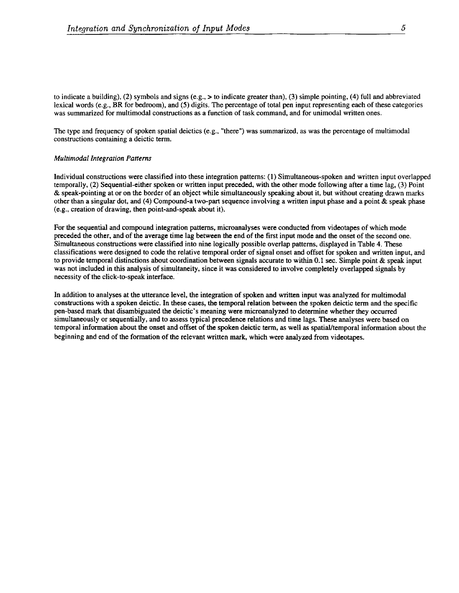to indicate a building), (2) symbols and signs (e.g.,  $>$  to indicate greater than), (3) simple pointing, (4) full and abbreviated lexical words (e.g., BR for bedroom), and (5) digits. The percentage of total pen input representing each of these categories was summarized for multimodal constructions as a function of task command, and for unimodal written ones.

The type and frequency of spoken spatial deictics (e.g., "there") was summarized, as was the percentage of multimodal constructions containing a deictic term.

#### *Multimodal Integration Patterns*

Individual constructions were classified into these integration patterns: (1) Simultaneous-spoken and written input overlapped temporally, (2) Sequential-either spoken or written input preceded, with the other mode following after a time lag, (3) Point & speak-pointing at or on the border of an object while simultaneously speaking about it, but without creating drawn marks other than a singular dot, and (4) Compound-a two-part sequence involving a written input phase and a point & speak phase (e.g., creation of drawing, then point-and-speak about it).

For the sequential and compound integration patterns, microanalyses were conducted from videotapes of which mode preceded the other, and of the average time lag between the end of the first input mode and the onset of the second one. Simultaneous constructions were classified into nine logically possible overlap patterns, displayed in Table 4. These classifications were designed to code the relative temporal order of signal onset and offset for spoken and written input, and to provide temporal distinctions about coordination between signals accurate to within 0.1 sec. Simple point & speak input was not included in this analysis of simultaneity, since it was considered to involve completely overlapped signals by necessity of the click-to-speak interface.

In addition to analyses at the utterance level, the integration of spoken and written input was analyzed for multimodal constructions with a spoken deictic. In these cases, the temporal relation between the spoken deictic term and the specific pen-based mark that disambiguated the deictic's meaning were microanalyzed to determine whether they occurred simultaneously or sequentially, and to assess typical precedence relations and time lags. These analyses were based on temporal information about the onset and offset of the spoken deictic term, as well as spatial/temporal information about the beginning and end of the formation of the relevant written mark, which were analyzed from videotapes.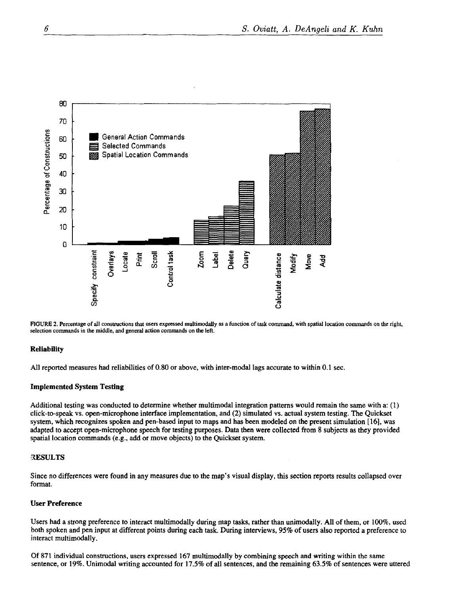

FIGURE 2. Percentage of all constructions that users expressed multimodally as a function of task command, with spatial location commands on the right, selection commands in the middle, and general action commands on the left.

#### **Reliability**

All reported measures had reliabilities of 0.80 or above, with inter-modal lags accurate to within 0.1 sec.

#### **Implemented System Testing**

Additional testing was conducted to determine whether multimodal integration patterns would remain the same with a: (1) click-to-speak vs. open-microphone interface implementation, and (2) simulated vs. actual system testing. The Quickset system, which recognizes spoken and pen-based input to maps and has been modeled on the present simulation [16], was adapted to accept open-microphone speech for testing purposes. Data then were collected from 8 subjects as they provided spatial location commands (e.g., add or move objects) to the Quickset system.

#### **RESULTS**

Since no differences were found in any measures due to the map's visual display, this section reports results collapsed over format.

# **User Preference**

Users had a strong preference to interact multimodally during map tasks, rather than unimodally. All of them, or 100%, used both spoken and pen input at different points during each task. During interviews, 95% of users also reported a preference to interact multimodally.

Of 871 individual constructions, users expressed 167 multimodally by combining speech and writing within the same sentence, or 19%. Unimodal writing accounted for 17.5% of all sentences, and the remaining 63.5% of sentences were uttered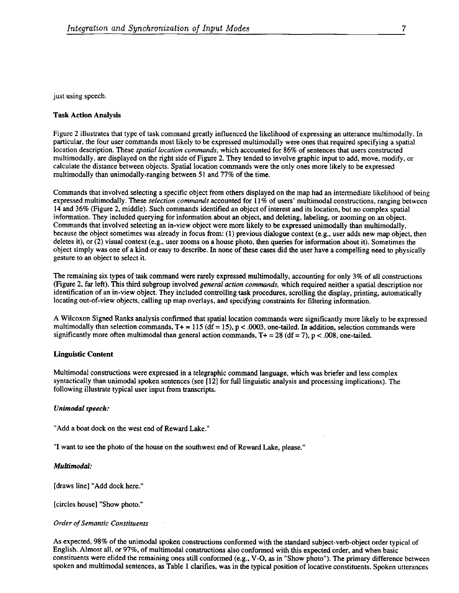just using speech.

#### Task Action Analysis

Figure 2 illustrates that type of task command greatly influenced the likelihood of expressing an utterance multimodally. In particular, the four user commands most likely to be expressed multimodally were ones that required specifying a spatial location description. These *spatial location commands,* which accounted for 86% of sentences that users constructed multimodally, are displayed on the right side of Figure 2. They tended to involve graphic input to add, move, modify, or calculate the distance between objects. Spatial location commands were the only ones more likely to be expressed multimodally than unimodally-ranging between 51 and 77% of the time.

Commands that involved selecting a specific object from others displayed on the map had an intermediate likelihood of being expressed multimodally. These *selection commands* accounted for 11% of users' multimodal constructions, ranging between 14 and 36% (Figure 2, middle). Such commands identified an object of interest and its location, but no complex spatial information. They included querying for information about an object, and deleting, labeling, or zooming on an object. Commands that involved selecting an in-view object were more likely to be expressed unimodally than multimodally, because the object sometimes was already in focus from: (1) previous dialogue context (e.g., user adds new map object, then deletes it), or (2) visual context (e.g., user zooms on a house photo, then queries for information about it). Sometimes the object simply was one of a kind or easy to describe. In none of these cases did the user have a compelling need to physically gesture to an object to select it.

The remaining six types of task command were rarely expressed multimodally, accounting for only 3% of all constructions (Figure 2, far left). This third subgroup involved *general action commands,* which required neither a spatial description nor identification of an in-view object. They included controlling task procedures, scrolling the display, printing, automatically locating out-of-view objects, calling up map overlays, and specifying constraints for filtering information.

A Wilcoxon Signed Ranks analysis confirmed that spatial location commands were significantly more likely to be expressed multimodally than selection commands,  $T_+ = 115$  (df = 15), p < .0003, one-tailed. In addition, selection commands were significantly more often multimodal than general action commands,  $T + = 28$  (df = 7), p < .008, one-tailed.

#### **Linguistic Content**

Multimodal constructions were expressed in a telegraphic command language, which was briefer and less complex syntactically than unimodal spoken sentences (see  $[12]$  for full linguistic analysis and processing implications). The following illustrate typical user input from transcripts.

#### *Unimodal speech:*

"Add a boat dock on the west end of Reward Lake."

"I want to see the photo of the house on the southwest end of Reward Lake, please."

#### *Multimodal:*

[draws line] "Add dock here."

[circles house] "Show photo."

#### *Order of Semantic Constituents*

As expected, 98% of the unimodal spoken constructions conformed with the standard subject-verb-object order typical of English. Almost all, or 97%, of multimodal constructions also conformed with this expected order, and when basic constituents were elided the remaining ones still conformed (e.g., V-O, as in "Show photo"). The primary difference between spoken and multimodal sentences, as Table 1 clarifies, was in the typical position of locative constituents. Spoken utterances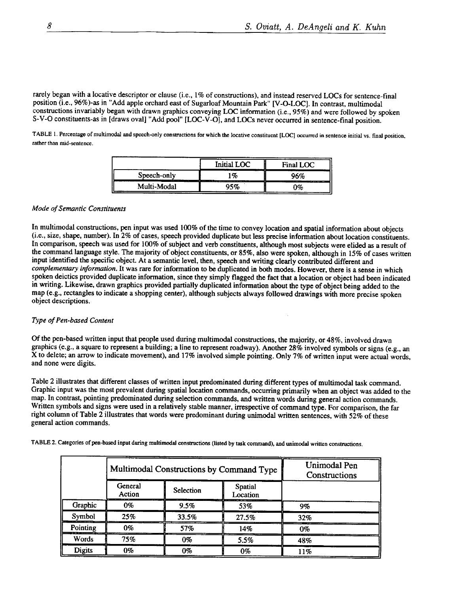rarely began with a locative descriptor or clause (i.e., 1% of constructions), and instead reserved LOCs for sentence-final position (i.e., 96%)-as in "Add apple orchard east of Sugarloaf Mountain Park" [V-O-LOC]. In contrast, multimodal constructions invariably began with drawn graphics conveying LOC information (i.e., 95%) and were followed by spoken S-V-O constituents-as in [draws oval] "Add pool" [LOC-V-O], and LOCs never occurred in sentence-final position.

TABLE 1. Percentage of multimodal and speech-only constructions for which the locative constituent [LOC] occurred in sentence initial vs. final position, rather than mid-sentence.

|                           | Initial LOC | Final LOC                   |
|---------------------------|-------------|-----------------------------|
| Speech-only<br>------<br> | 1%<br>. .   | ን6%                         |
| Multi-Modal               | 95%         | <br><b>CONTRACTOR</b><br>ን‰ |

# *Mode of Semantic Constituents*

In multimodal constructions, pen input was used 100% of the time to convey location and spatial information about objects (i.e., size, shape, number). In 2% of cases, speech provided duplicate but less precise information about location constituents. In comparison, speech was used for 100% of subject and verb constituents, although most subjects were elided as a result of the command language style. The majority of object constituents, or 85%, also were spoken, although in 15% of cases written input identified the specific object. At a semantic level, then, speech and writing clearly contributed different and *complementary information.* It was rare for information to be duplicated in both modes. However, there is a sense in which spoken deictics provided duplicate information, since they simply flagged the fact that a location or object had been indicated in writing. Likewise, drawn graphics provided partially duplicated information about the type of object being added to the map (e.g., rectangles to indicate a shopping center), although subjects always followed drawings with more precise spoken object descriptions.

#### *Type of Pen-based Content*

Of the pen-based written input that people used during multimodal constructions, the majority, or 48%, involved drawn graphics (e.g., a square to represent a building; a line to represent roadway). Another 28% involved symbols or signs (e.g., an X to delete; an arrow to indicate movement), and 17% involved simple pointing. Only 7% of written input were actual words, and none were digits.

Table 2 illustrates that different classes of written input predominated during different types of multimodal task command. Graphic input was the most prevalent dunng spatial location commands, occurring primarily when an object was added to the map. In contrast, pointing predominated during selection commands, and written words during general action commands. Written symbols and signs were used in a relatively stable manner, irrespective of command type. For comparison, the far right column of Table 2 illustrates that words were predominant during unimodal written sentences, with 52% of these general action commands.

|               | Multimodal Constructions by Command Type |                  |                            | Unimodal Pen<br>Constructions |
|---------------|------------------------------------------|------------------|----------------------------|-------------------------------|
|               | General<br>Action                        | <b>Selection</b> | <b>Spatial</b><br>Location |                               |
| Graphic       | $0\%$                                    | 9.5%             | 53%                        | 9%                            |
| Symbol        | 25%                                      | 33.5%            | 27.5%                      | 32%                           |
| Pointing      | 0%                                       | 57%              | 14%                        | 0%                            |
| <b>Words</b>  | 75%                                      | 0%               | 5.5%                       | 48%                           |
| <b>Digits</b> | 0%                                       | 0%               | $0\%$                      | 11%                           |

TABLE 2. Categories of pen-based input during multimodal constructions (listed by task command), and tmimodal written constructions.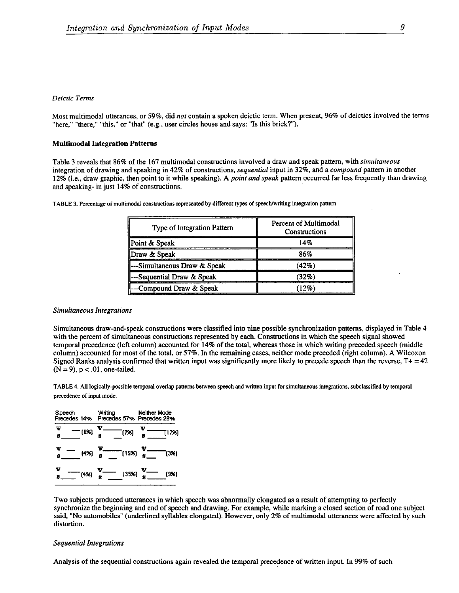# *Deictic Terms*

Most multimodal utterances, or 59%, did *not* contain a spoken deictic term. When present, 96% of deictics involved the terms "here," "there," "this," or "that" (e.g., user circles house and says: "Is this brick?").

#### **Multimodal Integration Patterns**

Table 3 reveals that 86% of the 167 multimodal constructions involved a draw and speak pattern, with *simultaneous*  integration of drawing and speaking in 42% of constructions, *sequential* input in 32%, and a *compound* pattern in another 12% (i.e., draw graphic, then point to it while speaking). A *point and speak* pattern occurred far less frequently than drawing and speaking- in just 14% of constructions.

| Type of Integration Pattern | Percent of Multimodal<br>Constructions |
|-----------------------------|----------------------------------------|
| Point & Speak               | 14%                                    |
| Draw & Speak                | 86%                                    |
| --Simultaneous Draw & Speak | (42%)                                  |
| -Sequential Draw & Speak    | (32%)                                  |
| --Compound Draw & Speak     |                                        |

TABLE 3. Percentage of multimodal constructions represented by different types of speech/writing integration pattern.

#### *Simultaneous Integrations*

Simultaneous draw-and-speak constructions were classified into nine possible synchronization patterns, displayed in Table 4 with the percent of simultaneous constructions represented by each. Constructions in which the speech signal showed temporal precedence (left column) accounted for 14% of the total, whereas those in which writing preceded speech (middle column) accounted for most of the total, or 57%. In the remaining cases, neither mode preceded (fight column). A Wilcoxon Signed Ranks analysis confirmed that written input was significantly more likely to precede speech than the reverse,  $T + 42$  $(N = 9)$ ,  $p < .01$ , one-tailed.

TABLE 4. All logically-possible temporal overlap patterns between speech and written input for simultaneous integrations, subclassified by temporal precedence of input mode.

| v<br>(6%)<br>g | $\frac{W}{1}$ (7%)<br>$\frac{v}{s}$<br>T17%)             |  |
|----------------|----------------------------------------------------------|--|
| Ψ<br>8         | $(4\%)$ $\frac{W}{8}$ (15%) $\frac{W}{8}$<br>$^{-}$ (3%) |  |
| v<br>(4%<br>Ñ  | v<br>$(35\%) \frac{W_{\_}}{8}$<br>(9x)<br>$\frac{1}{8}$  |  |

Two subjects produced utterances in which speech was abnormally elongated as a result of attempting to perfectly synchronize the beginning and end of speech and drawing. For example, while marking a closed section of road one subject said, "No automobiles" (underlined syllables elongated). However, only 2% of mulfimodal utterances were affected by such distortion.

#### *Sequential Integrations*

Analysis of the sequential constructions again revealed the temporal precedence of written input. In 99% of such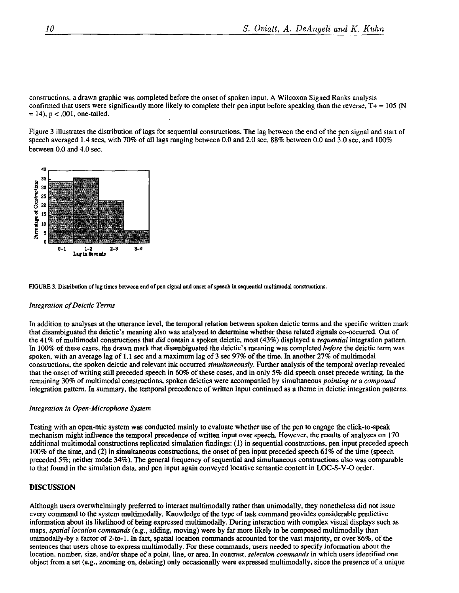constructions, a drawn graphic was completed before the onset of spoken input. A Wilcoxon Signed Ranks analysis confirmed that users were significantly more likely to complete their pen input before speaking than the reverse,  $T + = 105$  (N  $= 14$ ,  $p < .001$ , one-tailed.

Figure 3 illustrates the distribution of lags for sequential constructions. The lag between the end of the pen signal and start of speech averaged 1.4 secs, with 70% of all lags ranging between 0.0 and 2.0 sec, 88% between 0.0 and 3.0 sec, and 100% between 0.0 and 4.0 see.



FIGURE 3. Distribution of lag times between end of pen signal and onset of speech in sequential multimodal constructions. *I!* 

#### *Integration of Deictic Terms*

In addition to analyses at the utterance level, the temporal relation between spoken deictic terms and the specific written mark that disambiguated the deietic's meaning also was analyzed to determine whether these related signals co-occurred. Out of the 41% of multimodal constructions that *did* contain a spoken deictic, most (43%) displayed a *sequential* integration pattern. In 100% of these cases, the drawn mark that disambiguated the deictic's meaning was completed *before the* deicfic term was spoken, with an average lag of 1.1 see and a maximum lag of 3 see 97% of the time. In another 27% of multimodal constructions, the spoken deicfic and relevant ink occurred *simultaneously.* Further analysis of the temporal overlap revealed that the onset of writing still preceded speech in 60% of these cases, and in only 5% did speech onset precede writing. In the remaining 30% of multimodal constructions, spoken deictics were accompanied by simultaneous *pointing* or a *compound*  integration pattern. In summary, the temporal precedence of written input continued as a theme in deictic integration patterns.

#### *Integration in Open-Microphone System* **[]**

Testing with an open-mic system was conducted mainly to evaluate whether use of the pen to engage the click-to-speak mechanism might influence the temporal precedence of written input over speech. However, the results of analyses on 170 additional mulfimodal constructions replicated simulation findings: (1) in sequential constructions, pen input preceded speech 100% of the time, and (2) in simultaneous constructions, the onset of pen input preceded speech 61% of the time (speech preceded 5%; neither mode 34%). The general frequency of sequential and simultaneous constructions also was comparable to that found in the simulation data, and pen input again conveyed locative semantic content in LOC-S-V-O order.

#### DISCUSSION

Although users overwhelmingly preferred to interact mulfimodally rather than unimodally, they nonetheless did not issue every command to the system mulfimodally. Knowledge of the type of task command provides considerable predictive information about its likelihood of being expressed multimodally. During interaction with complex visual displays such as maps, *spatial location commands* (e.g., adding, moving) were by far more likely to be composed multimodaily than unimodally-by a factor of 2-to-1. In fact, spatial location commands accounted for the vast majority, or over 86%, of the sentences that users chose to express multimodally. For these commands, users needed to specify information about the location, number, size, and/or shape of a point, line, or area. In contrast, *selection commands* in which users identified one object from a set (e.g., zooming on, deleting) only occasionally were expressed multimodally, since the presence of a unique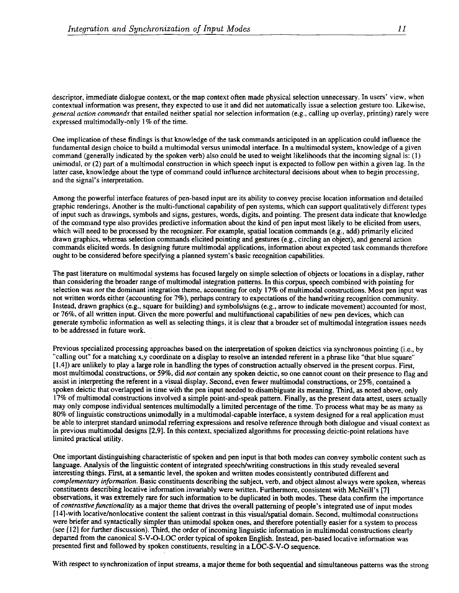descriptor, immediate dialogue context, or the map context often made physical selection unnecessary. In users' view, when contextual information was present, they expected to use it and did not automatically issue a selection gesture too. Likewise, *general action commands* that entailed neither spatial nor selection information (e.g., calling up overlay, printing) rarely were expressed multimodally-only 1% of the time.

One implication of these findings is that knowledge of the task commands anticipated in an application could influence the fundamental design choice to build a multimodal versus unimodal interface. In a multimodal system, knowledge of a given command (generally indicated by the spoken verb) also could be used to weight likelihoods that the incoming signal is: (1) unimodal, or (2) part of a multimodal construction in which speech input is expected to follow pen within a given lag. In the latter case, knowledge about the type of command could influence architectural decisions about when to begin processing, and the signal's interpretation.

Among the powerful interface features of pen-based input are its ability to convey precise location information and detailed graphic renderings. Another is the multi-functional capability of pen systems, which can support qualitatively different types of input such as drawings, symbols and signs, gestures, words, digits, and pointing. The present data indicate that knowledge of the command type also provides predictive information about the kind of pen input most likely to be elicited from users, which will need to be processed by the recognizer. For example, spatial location commands (e.g., add) primarily elicited drawn graphics, whereas selection commands elicited pointing and gestures (e.g., circling an object), and general action commands elicited words. In designing future multimodal applications, information about expected task commands therefore ought to be considered before specifying a planned system's basic recognition capabilities.

The past literature on multimodal systems has focused largely on simple selection of objects or locations in a display, rather than considering the broader range of multimodal integration patterns. In this corpus, speech combined with pointing for selection was *not* the dominant integration theme, accounting for only 17% of multimodal constructions. Most pen input was not written words either (accounting for 7%), perhaps contrary to expectations of the handwriting recognition community. Instead, drawn graphics (e.g., square for building) and symbols/signs (e.g., arrow to indicate movement) accounted for most, or 76%, of all written input. Given the more powerful and multifunctional capabilities of new pen devices, which can generate symbolic information as well as selecting things, it is clear that a broader set of multimodal integration issues needs to be addressed in future work.

Previous specialized processing approaches based on the interpretation of spoken deictics via synchronous pointing (i.e., by "calling out" for a matching x,y coordinate on a display to resolve an intended referent in a phrase like "that blue square" [ 1,4]) are unlikely to play a large role in handling the types of construction actually observed in the present corpus. First, most multimodal constructions, or 59%, did *not* contain any spoken deictic, so one cannot count on their presence to flag and assist in interpreting the referent in a visual display. Second, even fewer multimodal constructions, or 25%, contained a spoken deictic that overlapped in time with the pen input needed to disambiguate its meaning. Third, as noted above, only 17% of multimodal constructions involved a simple point-and-speak pattern. Finally, as the present data attest, users actually may only compose individual sentences multimodally a limited percentage of the time. To process what may be as many as 80% of linguistic constructions unimodally in a multimodal-capable interface, a system designed for a real application must be able to interpret standard unimodal referring expressions and resolve reference through both dialogue and visual context as in previous multimodal designs [2,9]. In this context, specialized algorithms for processing deictic-point relations have limited practical utility.

One important distinguishing characteristic of spoken and pen input is that both modes can convey symbolic content such as language. Analysis of the linguistic content of integrated speech/writing constructions in this study revealed several interesting things. First, at a semantic level, the spoken and written modes consistently contributed different and *complementary information.* Basic constituents describing the subject, verb, and object almost always were spoken, whereas constituents describing locative information invariably were written. Furthermore, consistent with McNeill's [7] observations, it was extremely rare for such information to be duplicated in both modes. These data confirm the importance of *contrastive functionality* as a major theme that drives the overall patterning of people's integrated use of input modes [14]-with locative/nonlocative content the salient contrast in this visual/spatial domain. Second, multimodal constructions were briefer and syntactically simpler than unimodal spoken ones, and therefore potentially easier for a system to process (see [12] for further discussion). Third, the order of incoming linguistic information in multimodal constructions clearly departed from the canonical S-V-O-LOC order typical of spoken English. Instead, pen-based locative information was presented first and followed by spoken constituents, resulting in a LOC-S-V-O sequence.

With respect to synchronization of input streams, a major theme for both sequential and simultaneous patterns was the strong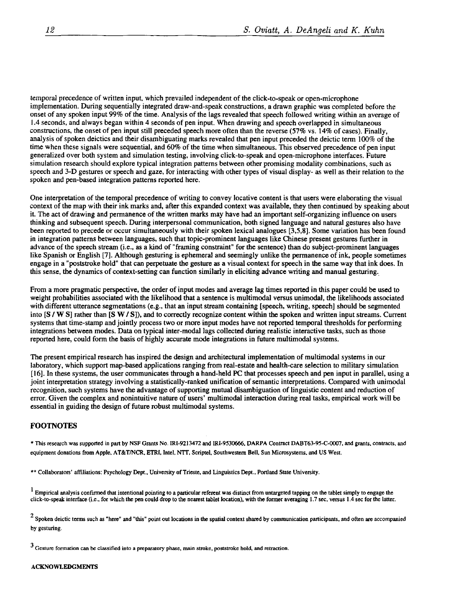temporal precedence of written input, which prevailed independent of the click-to-speak or open-microphone implementation. Dunng sequentially integrated draw-and-speak constructions, a drawn graphic was completed before the onset of any spoken input 99% of the time. Analysis of the lags revealed that speech followed writing within an average of 1.4 seconds, and always began within 4 seconds of pen input. When drawing and speech overlapped in simultaneous constructions, the onset of pen input still preceded speech more often than the reverse (57% vs. 14% of cases). Finally, analysis of spoken deictics and their disambiguating marks revealed that pen input preceded the deictic term 100% of the time when these signals were sequential, and 60% of the time when simultaneous. This observed precedence of pen input generalized over both system and simulation testing, involving click-to-speak and open-microphone interfaces. Future simulation research should explore typical integration patterns between other promising modality combinations, such as speech and 3-D gestures or speech and gaze, for interacting with other types of visual display- as well as their relation to the spoken and pen-based integration patterns reported here.

One interpretation of the temporal precedence of writing to convey locative content is that users were elaborating the visual context of the map with their ink marks and, after this expanded context was available, they then continued by speaking about it. The act of drawing and permanence of the written marks may have had an important self-organizing influence on users thinking and subsequent speech. During interpersonal communication, both signed language and natural gestures also have been reported to precede or occur simultaneously with their spoken lexical analogues [3,5,8]. Some variation has been found in integration patterns between languages, such that topic-prominent languages like Chinese present gestures further in advance of the speech stream (i.e., as a kind of "framing constraint" for the sentence) than do subject-prominent languages like Spanish or English [7]. Although gesturing is ephemeral and seemingly unlike the permanence of ink, people sometimes engage in a "poststroke hold" that can perpetuate the gesture as a visual context for speech in the same way that ink does. In this sense, the dynamics of context-setting can function similarly in eliciting advance writing and manual gestunng.

From a more pragmatic perspective, the order of input modes and average lag times reported in this paper could be used to weight probabilities associated with the likelihood that a sentence is mulfimodal versus unimodal, the likelihoods associated with different utterance segmentations (e.g., that an input stream containing [speech, writing, speech] should be segmented into [S / W S] rather than [S W / S]), and to correctly recognize content within the spoken and written input streams. Current systems that time-stamp and jointly process two or more input modes have not reported temporal thresholds for performing integrations between modes. Data on typical inter-modal lags collected during realistic interactive tasks, such as those reported here, could form the basis of highly accurate mode integrations in future multimodal systems.

The present empirical research has inspired the design and architectural implementation of multimodal systems in our laboratory, which support map-based applications ranging from real-estate and health-care selection to military simulation [16]. In these systems, the user communicates through a hand-held PC that processes speech and pen input in parallel, using a joint interpretation strategy involving a statistically-ranked unification of semantic interpretations. Compared with unimodal recognition, such systems have the advantage of supporting mutual disambiguation of linguistic content and reduction of error. Given the complex and nonintuitive nature of users' mulfimodal interaction during real tasks, empirical work will be essential in guiding the design of future robust multimodal systems.

# FOOTNOTES

\* This research was supported in part by NSF Grants No. IRI-9213472 and IRI-9530666, DARPA Contract DABT63-95-C-0007, and grants, contracts, and equipment donations from Apple, AT&T/NCR, ETRI, Intel, NTT, Scriptel, Southwestern Bell, Sun Microsystems, and US West.

\*\* Collaborators' affiliations: Psychology Dept., University of Trieste, and Linguistics Dept., Portland State University.

 $<sup>1</sup>$  Empirical analysis confirmed that intentional pointing to a particular referent was distinct from untargeted tapping on the tablet simply to engage the</sup> click-to-speak interface (i.e., for which the pen could drop to the nearest tablet location), with the former averaging 1.7 sec, versus 1.4 sec for the latter.

 $<sup>2</sup>$  Spoken deictic terms such as "here" and "this" point out locations in the spatial context shared by communication participants, and often are accompanied</sup> by gesturing.

 $3$  Gesture formation can be classified into a preparatory phase, main stroke, poststroke hold, and retraction.